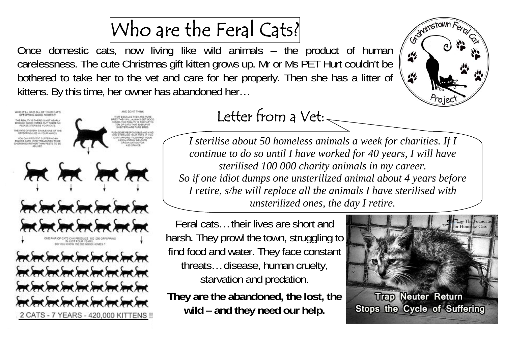## Who are the Feral Cats?

Once domestic cats, now living like wild animals – the product of human carelessness. The cute Christmas gift kitten grows up. Mr or Ms PET Hurt couldn't be bothered to take her to the vet and care for her properly. Then she has a litter of kittens. By this time, her owner has abandoned her…





### Letter from a Vet: $\overline{\phantom{a}}$

*I sterilise about 50 homeless animals a week for charities. If I continue to do so until I have worked for 40 years, I will have sterilised 100 000 charity animals in my career. So if one idiot dumps one unsterilized animal about 4 years before I retire, s/he will replace all the animals I have sterilised with unsterilized ones, the day I retire.* 

Feral cats… their lives are short and harsh. They prowl the town, struggling to find food and water. They face constant threats… disease, human cruelty, starvation and predation.

**They are the abandoned, the lost, the wild – and they need our help.**

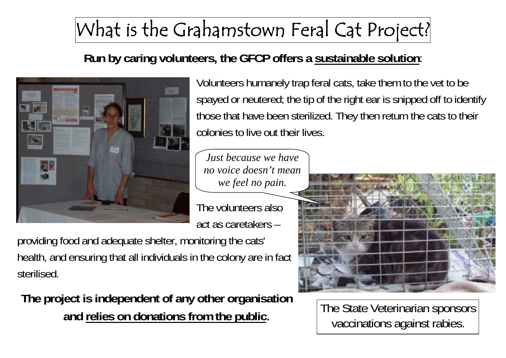### What is the Grahamstown Feral Cat Project?

#### **Run by caring volunteers, the GFCP offers a sustainable solution**:



Volunteers humanely trap feral cats, take them to the vet to be spayed or neutered; the tip of the right ear is snipped off to identify those that have been sterilized. They then return the cats to their colonies to live out their lives.

*Just because we have no voice doesn't mean we feel no pain.* 

The volunteers also act as caretakers –

providing food and adequate shelter, monitoring the cats' health, and ensuring that all individuals in the colony are in fact sterilised.

**The project is independent of any other organisation and relies on donations from the public**.



The State Veterinarian sponsors vaccinations against rabies.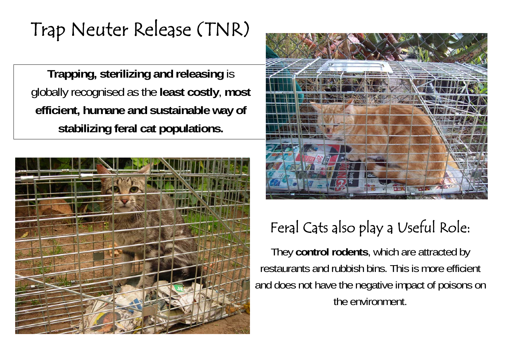### Trap Neuter Release (TNR)

**Trapping, sterilizing and releasing** is globally recognised as the **least costly**, **most efficient, humane and sustainable way of stabilizing feral cat populations.** 





### Feral Cats also play a Useful Role:

They **control rodents**, which are attracted by restaurants and rubbish bins. This is more efficient and does not have the negative impact of poisons on the environment.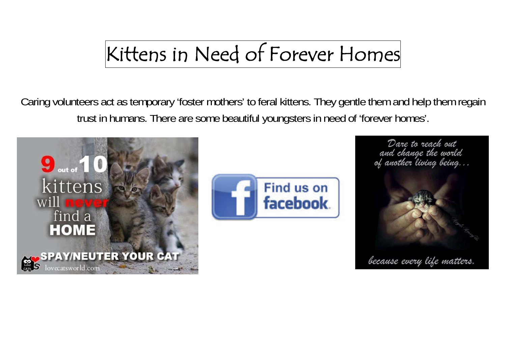## Kittens in Need of Forever Homes

Caring volunteers act as temporary 'foster mothers' to feral kittens. They gentle them and help them regain trust in humans. There are some beautiful youngsters in need of 'forever homes'.





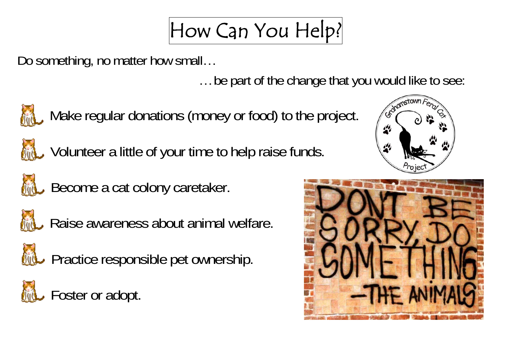## How Can You Help?

Do something, no matter how small…

… be part of the change that you would like to see:



Make regular donations (money or food) to the project.



Volunteer a little of your time to help raise funds.



**AL** Become a cat colony caretaker.



Raise awareness about animal welfare.



**AL** Practice responsible pet ownership.

Foster or adopt.



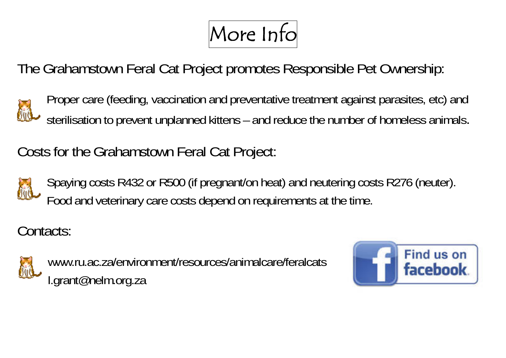# More Info

The Grahamstown Feral Cat Project promotes Responsible Pet Ownership:

Proper care (feeding, vaccination and preventative treatment against parasites, etc) and sterilisation to prevent unplanned kittens – and reduce the number of homeless animals.

Costs for the Grahamstown Feral Cat Project:



Spaying costs R432 or R500 (if pregnant/on heat) and neutering costs R276 (neuter). Food and veterinary care costs depend on requirements at the time.

Contacts:



www.ru.ac.za/environment/resources/animalcare/feralcats l.grant@nelm.org.za